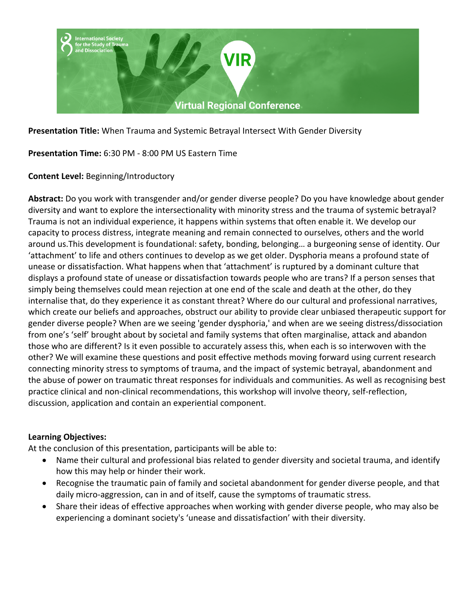

**Presentation Title:** When Trauma and Systemic Betrayal Intersect With Gender Diversity

**Presentation Time:** 6:30 PM - 8:00 PM US Eastern Time

## **Content Level:** Beginning/Introductory

**Abstract:** Do you work with transgender and/or gender diverse people? Do you have knowledge about gender diversity and want to explore the intersectionality with minority stress and the trauma of systemic betrayal? Trauma is not an individual experience, it happens within systems that often enable it. We develop our capacity to process distress, integrate meaning and remain connected to ourselves, others and the world around us.This development is foundational: safety, bonding, belonging… a burgeoning sense of identity. Our 'attachment' to life and others continues to develop as we get older. Dysphoria means a profound state of unease or dissatisfaction. What happens when that 'attachment' is ruptured by a dominant culture that displays a profound state of unease or dissatisfaction towards people who are trans? If a person senses that simply being themselves could mean rejection at one end of the scale and death at the other, do they internalise that, do they experience it as constant threat? Where do our cultural and professional narratives, which create our beliefs and approaches, obstruct our ability to provide clear unbiased therapeutic support for gender diverse people? When are we seeing 'gender dysphoria,' and when are we seeing distress/dissociation from one's 'self' brought about by societal and family systems that often marginalise, attack and abandon those who are different? Is it even possible to accurately assess this, when each is so interwoven with the other? We will examine these questions and posit effective methods moving forward using current research connecting minority stress to symptoms of trauma, and the impact of systemic betrayal, abandonment and the abuse of power on traumatic threat responses for individuals and communities. As well as recognising best practice clinical and non-clinical recommendations, this workshop will involve theory, self-reflection, discussion, application and contain an experiential component.

### **Learning Objectives:**

At the conclusion of this presentation, participants will be able to:

- Name their cultural and professional bias related to gender diversity and societal trauma, and identify how this may help or hinder their work.
- Recognise the traumatic pain of family and societal abandonment for gender diverse people, and that daily micro-aggression, can in and of itself, cause the symptoms of traumatic stress.
- Share their ideas of effective approaches when working with gender diverse people, who may also be experiencing a dominant society's 'unease and dissatisfaction' with their diversity.